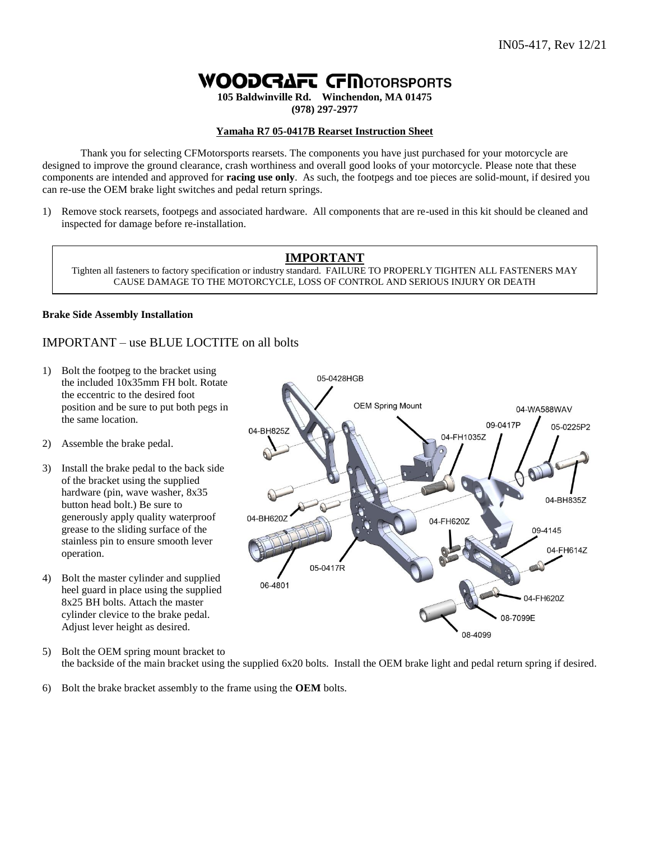# **WOODGAFT GE INOTORSPORTS**

**105 Baldwinville Rd. Winchendon, MA 01475 (978) 297-2977**

#### **Yamaha R7 05-0417B Rearset Instruction Sheet**

Thank you for selecting CFMotorsports rearsets. The components you have just purchased for your motorcycle are designed to improve the ground clearance, crash worthiness and overall good looks of your motorcycle. Please note that these components are intended and approved for **racing use only**. As such, the footpegs and toe pieces are solid-mount, if desired you can re-use the OEM brake light switches and pedal return springs.

1) Remove stock rearsets, footpegs and associated hardware. All components that are re-used in this kit should be cleaned and inspected for damage before re-installation.

## **IMPORTANT**

Tighten all fasteners to factory specification or industry standard. FAILURE TO PROPERLY TIGHTEN ALL FASTENERS MAY CAUSE DAMAGE TO THE MOTORCYCLE, LOSS OF CONTROL AND SERIOUS INJURY OR DEATH

#### **Brake Side Assembly Installation**

### IMPORTANT – use BLUE LOCTITE on all bolts

- 1) Bolt the footpeg to the bracket using the included 10x35mm FH bolt. Rotate the eccentric to the desired foot position and be sure to put both pegs in the same location.
- 2) Assemble the brake pedal.
- 3) Install the brake pedal to the back side of the bracket using the supplied hardware (pin, wave washer, 8x35 button head bolt.) Be sure to generously apply quality waterproof grease to the sliding surface of the stainless pin to ensure smooth lever operation.
- 4) Bolt the master cylinder and supplied heel guard in place using the supplied 8x25 BH bolts. Attach the master cylinder clevice to the brake pedal. Adjust lever height as desired.
- 5) Bolt the OEM spring mount bracket to the backside of the main bracket using the supplied 6x20 bolts. Install the OEM brake light and pedal return spring if desired.
- 6) Bolt the brake bracket assembly to the frame using the **OEM** bolts.